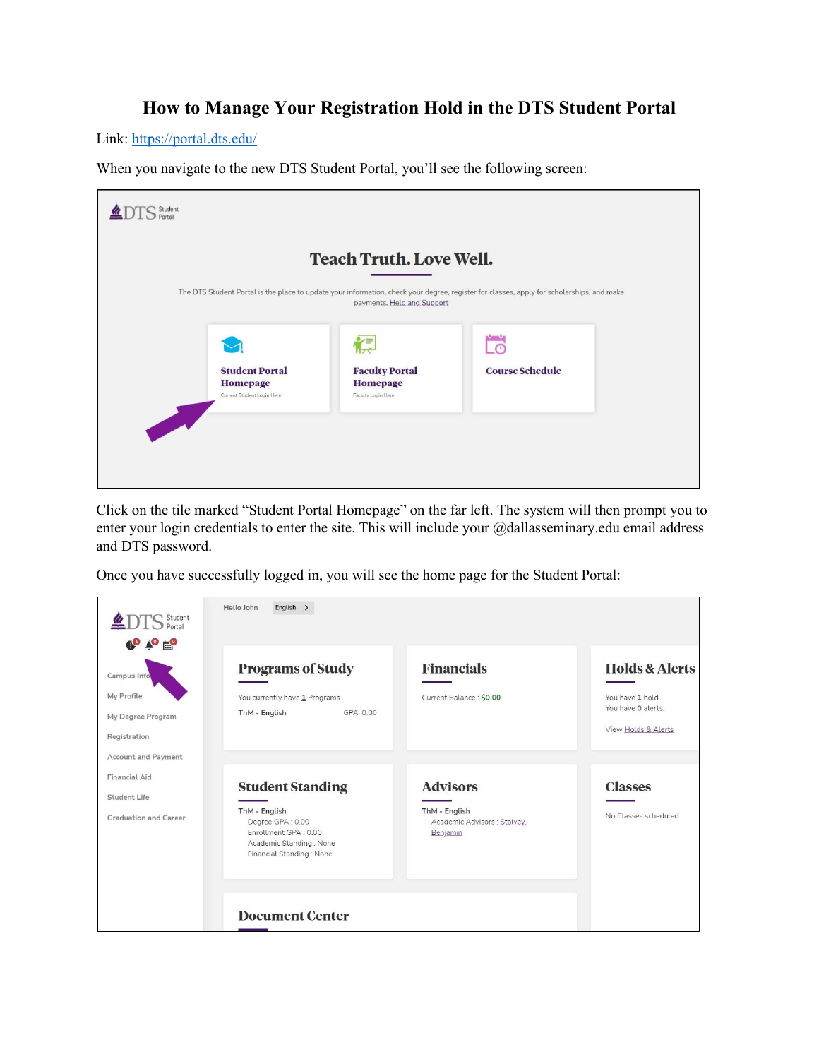## **How to Manage Your Registration Hold in the DTS Student Portal**

Link:<https://portal.dts.edu/>

When you navigate to the new DTS Student Portal, you'll see the following screen:

|                                                                        | <b>Teach Truth. Love Well.</b>                                                                                                                                          |                        |  |
|------------------------------------------------------------------------|-------------------------------------------------------------------------------------------------------------------------------------------------------------------------|------------------------|--|
|                                                                        | The DTS Student Portal is the place to update your information, check your degree, register for classes, apply for scholarships, and make<br>payments. Help and Support |                        |  |
|                                                                        | ⋐                                                                                                                                                                       |                        |  |
| <b>Student Portal</b><br><b>Homepage</b><br>Current Student Login Here | <b>Faculty Portal</b><br><b>Homepage</b><br>Faculty Login Here                                                                                                          | <b>Course Schedule</b> |  |

Click on the tile marked "Student Portal Homepage" on the far left. The system will then prompt you to enter your login credentials to enter the site. This will include your @dallasseminary.edu email address and DTS password.

Once you have successfully logged in, you will see the home page for the Student Portal:

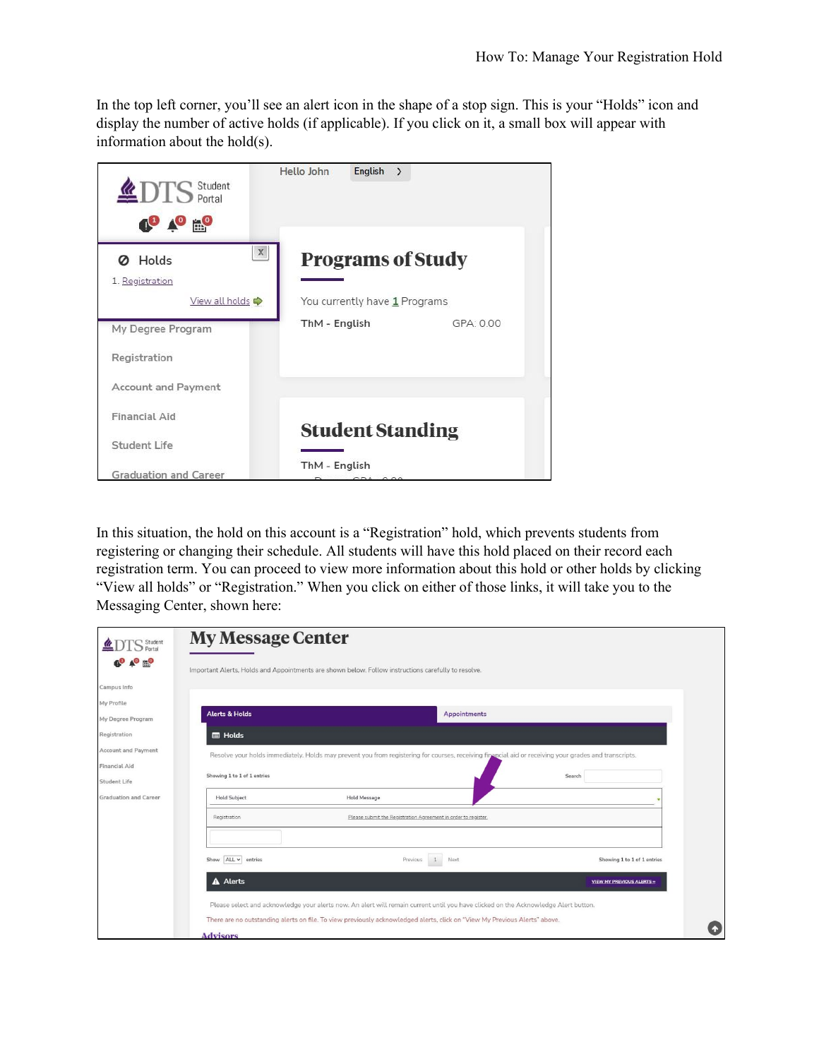In the top left corner, you'll see an alert icon in the shape of a stop sign. This is your "Holds" icon and display the number of active holds (if applicable). If you click on it, a small box will appear with information about the hold(s).



In this situation, the hold on this account is a "Registration" hold, which prevents students from registering or changing their schedule. All students will have this hold placed on their record each registration term. You can proceed to view more information about this hold or other holds by clicking "View all holds" or "Registration." When you click on either of those links, it will take you to the Messaging Center, shown here:

| 'S Student                   | <b>My Message Center</b>                                                                                                                              |
|------------------------------|-------------------------------------------------------------------------------------------------------------------------------------------------------|
| $\triangle^{\circ}$ by       | Important Alerts, Holds and Appointments are shown below. Follow instructions carefully to resolve.                                                   |
| Campus Info                  |                                                                                                                                                       |
| My Profile                   |                                                                                                                                                       |
| My Degree Program            | <b>Alerts &amp; Holds</b><br><b>Appointments</b>                                                                                                      |
| Registration                 | <b>E</b> Holds                                                                                                                                        |
| Account and Payment          | Resolve your holds immediately. Holds may prevent you from registering for courses, receiving financial aid or receiving your grades and transcripts. |
| Financial Aid                |                                                                                                                                                       |
| Student Life                 | Showing 1 to 1 of 1 entries<br>Search                                                                                                                 |
| <b>Graduation and Career</b> | <b>Hold Message</b><br><b>Hold Subject</b>                                                                                                            |
|                              | Please submit the Registration Agreement in order to register.<br>Registration                                                                        |
|                              |                                                                                                                                                       |
|                              | Show ALL v entries<br>Next<br>Previous<br>Showing 1 to 1 of 1 entries                                                                                 |
|                              | A Alerts<br><b>VIEW MY PREVIOUS ALERTS »</b>                                                                                                          |
|                              | Please select and acknowledge your alerts now. An alert will remain current until you have clicked on the Acknowledge Alert button.                   |
|                              | There are no outstanding alerts on file. To view previously acknowledged alerts, click on "View My Previous Alerts" above.                            |
|                              | <b>Advisors</b>                                                                                                                                       |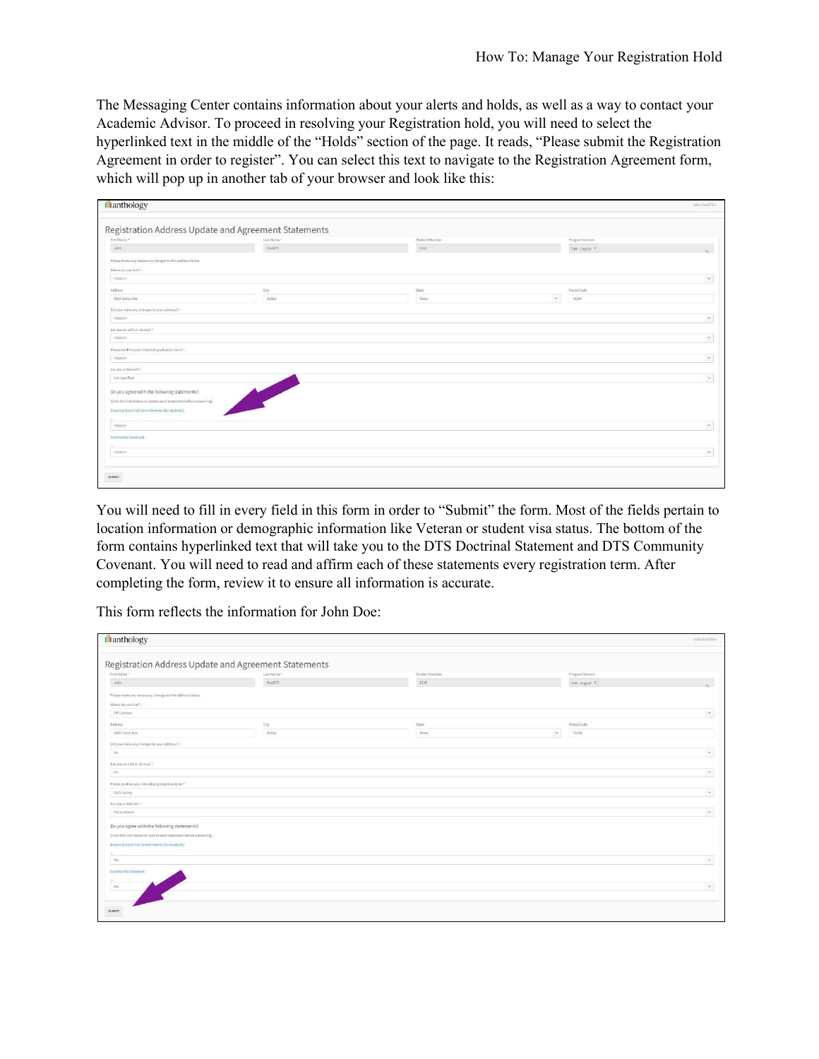The Messaging Center contains information about your alerts and holds, as well as a way to contact your Academic Advisor. To proceed in resolving your Registration hold, you will need to select the hyperlinked text in the middle of the "Holds" section of the page. It reads, "Please submit the Registration Agreement in order to register". You can select this text to navigate to the Registration Agreement form, which will pop up in another tab of your browser and look like this:

| <b>Illanthology</b>                                                |             |                |              |                 | John DoeDTS - |
|--------------------------------------------------------------------|-------------|----------------|--------------|-----------------|---------------|
| Registration Address Update and Agreement Statements               |             |                |              |                 |               |
| First Name *                                                       | Last Name * | Student Number |              | Program Version |               |
| John                                                               | DouDTS      | 1111           |              | ThM - English   |               |
| Please make any necessary changes to the address below.            |             |                |              |                 |               |
| Where do you live? .                                               |             |                |              |                 |               |
| <solact></solact>                                                  |             |                |              |                 | $\sim$        |
| Address                                                            | City        | State          |              | Postal Code     |               |
| 5656 Swiss Ave.                                                    | Dallos      | Texas          | $\checkmark$ | 75204           |               |
| Did you make any changes to your address? .                        |             |                |              |                 |               |
| <solact></solact>                                                  |             |                |              |                 | $\checkmark$  |
| Are you on a F1 or J1 visa? *                                      |             |                |              |                 |               |
| <sulact></sulact>                                                  |             |                |              |                 | $\vee$        |
| Please confirm your intended graduation term *                     |             |                |              |                 |               |
| <select></select>                                                  |             |                |              |                 | $\check{~}$   |
| Are you a Veteran?                                                 |             |                |              |                 |               |
| Not specified                                                      |             |                |              |                 | $\vee$        |
|                                                                    |             |                |              |                 |               |
| Do you agree with the following statements?                        |             |                |              |                 |               |
| (Click the links below to read to each statement before answering) |             |                |              |                 |               |
| Essential Doctrinal Commitments (for students)                     |             |                |              |                 |               |
| «Select»                                                           |             |                |              |                 | $\mathcal{L}$ |
|                                                                    |             |                |              |                 |               |
| Community Covenant                                                 |             |                |              |                 |               |
| <soloct></soloct>                                                  |             |                |              |                 | $\sim$        |
|                                                                    |             |                |              |                 |               |
|                                                                    |             |                |              |                 |               |
| <b>SUBMIT</b>                                                      |             |                |              |                 |               |

You will need to fill in every field in this form in order to "Submit" the form. Most of the fields pertain to location information or demographic information like Veteran or student visa status. The bottom of the form contains hyperlinked text that will take you to the DTS Doctrinal Statement and DTS Community Covenant. You will need to read and affirm each of these statements every registration term. After completing the form, review it to ensure all information is accurate.

This form reflects the information for John Doe:

| llanthology                                                        |                                                      |                |                        | John DoeDTS +         |
|--------------------------------------------------------------------|------------------------------------------------------|----------------|------------------------|-----------------------|
|                                                                    |                                                      |                |                        |                       |
|                                                                    | Registration Address Update and Agreement Statements |                |                        |                       |
| First Name *                                                       | Last Name *                                          | Student Number | Program Version        |                       |
| John                                                               | DoeDTS                                               | 1111           | ThM - English X        |                       |
| Please make any necessary changes to the address below.            |                                                      |                |                        |                       |
| Where do you live? -                                               |                                                      |                |                        |                       |
| Off Campus                                                         |                                                      |                |                        | $\check{~}$           |
| <b>Address</b>                                                     | City.                                                | State.         | Postal Code            |                       |
| 5656 Swiss Ave.                                                    | <b>Dallas</b>                                        | Texas.         | $\mathcal{A}$<br>75204 |                       |
| Did you make any changes to your address? .                        |                                                      |                |                        |                       |
| Na                                                                 |                                                      |                |                        | $\omega$              |
| Are you on a F1 or J1 visa? *                                      |                                                      |                |                        |                       |
| No.                                                                |                                                      |                |                        | $\sim$                |
| Please confirm your intended graduation term *                     |                                                      |                |                        |                       |
| 2025 Spring                                                        |                                                      |                |                        | $\mathbbmss{}$        |
| Are you a Veteran? -                                               |                                                      |                |                        |                       |
| Not a veteran                                                      |                                                      |                |                        | $\check{\mathcal{L}}$ |
|                                                                    |                                                      |                |                        |                       |
| Do you agree with the following statements?                        |                                                      |                |                        |                       |
| (Click the links below to read to each statement before answering) |                                                      |                |                        |                       |
| Essential Doctrinal Commitments (for students)                     |                                                      |                |                        |                       |
| Yes                                                                |                                                      |                |                        | $\check{\mathcal{L}}$ |
|                                                                    |                                                      |                |                        |                       |
| Community Covenant                                                 |                                                      |                |                        |                       |
| Yes                                                                |                                                      |                |                        | $\sim$                |
|                                                                    |                                                      |                |                        |                       |
|                                                                    |                                                      |                |                        |                       |
| SUBMIT                                                             |                                                      |                |                        |                       |
|                                                                    |                                                      |                |                        |                       |